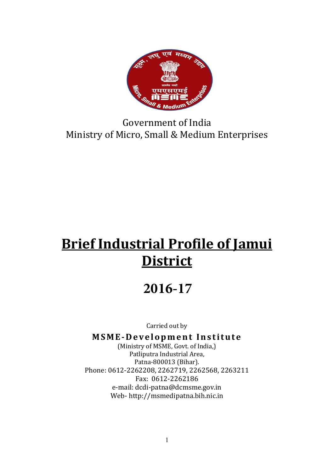

Government of India Ministry of Micro, Small & Medium Enterprises

# Brief Industrial Profile of Jamui **District**

# **2016-17**

Carried out by

## MSME-Development Institute

(Ministry of MSME, Govt. of India,) Patliputra Industrial Area, Patna-800013 (Bihar). Phone: 0612-2262208, 2262719, 2262568, 2263211 Fax: 0612-2262186 e-mail: dcdi-patna@dcmsme.gov.in Web- http://msmedipatna.bih.nic.in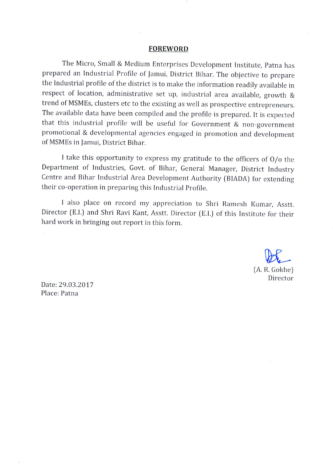#### **FOREWORD**

The Micro, Small & Medium Enterprises Development Institute, Patna has prepared an Industrial Profile of Jamui, District Bihar. The objective to prepare the Industrial profile of the district is to make the information readily available in respect of location, administrative set up, industrial area available, growth & trend of MSMEs, clusters etc to the existing as well as prospective entrepreneurs. The available data have been compiled and the profile is prepared. It is expected that this industrial profile will be useful for Government & non-government promotional & developmental agencies engaged in promotion and development of MSMEs in Jamui, District Bihar.

I take this opportunity to express my gratitude to the officers of  $O/O$  the Department of Industries, Govt. of Bihar, General Manager, District Industry Centre and Bihar Industrial Area Development Authority (BIADA) for extending their co-operation in preparing this Industrial Profile.

I also place on record my appreciation to Shri Ramesh Kumar, Asstt. Director (E.I.) and Shri Ravi Kant, Asstt. Director (E.I.) of this Institute for their hard work in bringing out report in this form.

> (A. R. Gokhe) Director

Date: 29.03.2017 Place: Patna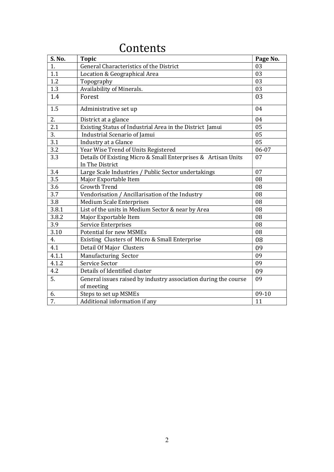| <b>S. No.</b> | <b>Topic</b>                                                                     | Page No. |
|---------------|----------------------------------------------------------------------------------|----------|
| 1.            | General Characteristics of the District                                          | 03       |
| 1.1           | Location & Geographical Area                                                     | 03       |
| 1.2           | Topography                                                                       | 03       |
| 1.3           | Availability of Minerals.                                                        | 03       |
| 1.4           | Forest                                                                           | 03       |
| 1.5           | Administrative set up                                                            | 04       |
| 2.            | District at a glance                                                             | 04       |
| 2.1           | Existing Status of Industrial Area in the District Jamui                         | 05       |
| 3.            | Industrial Scenario of Jamui                                                     | 05       |
| 3.1           | Industry at a Glance                                                             | 05       |
| 3.2           | Year Wise Trend of Units Registered                                              | 06-07    |
| 3.3           | Details Of Existing Micro & Small Enterprises & Artisan Units<br>In The District | 07       |
| 3.4           | Large Scale Industries / Public Sector undertakings                              | 07       |
| 3.5           | Major Exportable Item                                                            | 08       |
| 3.6           | <b>Growth Trend</b>                                                              | 08       |
| 3.7           | Vendorisation / Ancillarisation of the Industry                                  | 08       |
| 3.8           | <b>Medium Scale Enterprises</b>                                                  | 08       |
| 3.8.1         | List of the units in Medium Sector & near by Area                                | 08       |
| 3.8.2         | Major Exportable Item                                                            | 08       |
| 3.9           | Service Enterprises                                                              | 08       |
| 3.10          | <b>Potential for new MSMEs</b>                                                   | 08       |
| 4.            | Existing Clusters of Micro & Small Enterprise                                    | 08       |
| 4.1           | Detail Of Major Clusters                                                         | 09       |
| 4.1.1         | Manufacturing Sector                                                             | 09       |
| 4.1.2         | Service Sector                                                                   | 09       |
| 4.2           | Details of Identified cluster                                                    | 09       |
| 5.            | General issues raised by industry association during the course<br>of meeting    | 09       |
| 6.            | Steps to set up MSMEs                                                            | 09-10    |
| 7.            | Additional information if any                                                    | 11       |

## **Contents**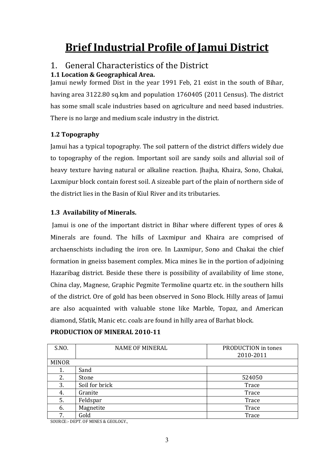# Brief Industrial Profile of Jamui District

## 1. General Characteristics of the District

## 1.1 Location & Geographical Area.

Jamui newly formed Dist in the year 1991 Feb, 21 exist in the south of Bihar, having area 3122.80 sq.km and population 1760405 (2011 Census). The district has some small scale industries based on agriculture and need based industries. There is no large and medium scale industry in the district.

## 1.2 Topography

Jamui has a typical topography. The soil pattern of the district differs widely due to topography of the region. Important soil are sandy soils and alluvial soil of heavy texture having natural or alkaline reaction. Jhajha, Khaira, Sono, Chakai, Laxmipur block contain forest soil. A sizeable part of the plain of northern side of the district lies in the Basin of Kiul River and its tributaries.

## 1.3 Availability of Minerals.

Jamui is one of the important district in Bihar where different types of ores & Minerals are found. The hills of Laxmipur and Khaira are comprised of archaenschists including the iron ore. In Laxmipur, Sono and Chakai the chief formation in gneiss basement complex. Mica mines lie in the portion of adjoining Hazaribag district. Beside these there is possibility of availability of lime stone, China clay, Magnese, Graphic Pegmite Termoline quartz etc. in the southern hills of the district. Ore of gold has been observed in Sono Block. Hilly areas of Jamui are also acquainted with valuable stone like Marble, Topaz, and American diamond, Sfatik, Manic etc. coals are found in hilly area of Barhat block.

| S.NO.                             | <b>NAME OF MINERAL</b> | PRODUCTION in tones |  |  |
|-----------------------------------|------------------------|---------------------|--|--|
|                                   |                        | 2010-2011           |  |  |
| <b>MINOR</b>                      |                        |                     |  |  |
| 1.                                | Sand                   |                     |  |  |
| 2.                                | Stone                  | 524050              |  |  |
| 3.                                | Soil for brick         | Trace               |  |  |
| 4.                                | Granite                | Trace               |  |  |
| 5.                                | Feldspar               | Trace               |  |  |
| 6.                                | Magnetite              | Trace               |  |  |
| 7.                                | Gold                   | Trace               |  |  |
| BERT OF MINES & CROLOGY<br>001D0E |                        |                     |  |  |

#### PRODUCTION OF MINERAL 2010-11

SOURCE:- DEPT. OF MINES & GEOLOGY.,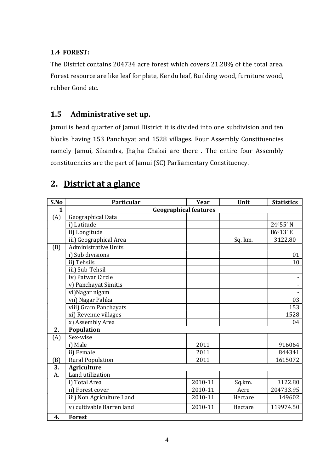#### 1.4 FOREST:

The District contains 204734 acre forest which covers 21.28% of the total area. Forest resource are like leaf for plate, Kendu leaf, Building wood, furniture wood, rubber Gond etc.

## 1.5 Administrative set up.

Jamui is head quarter of Jamui District it is divided into one subdivision and ten blocks having 153 Panchayat and 1528 villages. Four Assembly Constituencies namely Jamui, Sikandra, Jhajha Chakai are there . The entire four Assembly constituencies are the part of Jamui (SC) Parliamentary Constituency.

## 2. District at a glance

| S.No         | Particular                   | Year    | Unit    | <b>Statistics</b> |  |  |
|--------------|------------------------------|---------|---------|-------------------|--|--|
| $\mathbf{1}$ | <b>Geographical features</b> |         |         |                   |  |  |
| (A)          | Geographical Data            |         |         |                   |  |  |
|              | i) Latitude                  |         |         | 24055'N           |  |  |
|              | ii) Longitude                |         |         | 86013'E           |  |  |
|              | iii) Geographical Area       |         | Sq. km. | 3122.80           |  |  |
| (B)          | <b>Administrative Units</b>  |         |         |                   |  |  |
|              | i) Sub divisions             |         |         | 01                |  |  |
|              | ii) Tehsils                  |         |         | 10                |  |  |
|              | iii) Sub-Tehsil              |         |         |                   |  |  |
|              | iv) Patwar Circle            |         |         |                   |  |  |
|              | v) Panchayat Simitis         |         |         |                   |  |  |
|              | vi) Nagar nigam              |         |         |                   |  |  |
|              | vii) Nagar Palika            |         |         | 03                |  |  |
|              | viii) Gram Panchayats        |         |         | 153               |  |  |
|              | xi) Revenue villages         |         |         | 1528              |  |  |
|              | x) Assembly Area             |         |         | 04                |  |  |
| 2.           | Population                   |         |         |                   |  |  |
| (A)          | Sex-wise                     |         |         |                   |  |  |
|              | i) Male                      | 2011    |         | 916064            |  |  |
|              | ii) Female                   | 2011    |         | 844341            |  |  |
| (B)          | <b>Rural Population</b>      | 2011    |         | 1615072           |  |  |
| 3.           | <b>Agriculture</b>           |         |         |                   |  |  |
| A.           | Land utilization             |         |         |                   |  |  |
|              | i) Total Area                | 2010-11 | Sq.km.  | 3122.80           |  |  |
|              | ii) Forest cover             | 2010-11 | Acre    | 204733.95         |  |  |
|              | iii) Non Agriculture Land    | 2010-11 | Hectare | 149602            |  |  |
|              | v) cultivable Barren land    | 2010-11 | Hectare | 119974.50         |  |  |
| 4.           | <b>Forest</b>                |         |         |                   |  |  |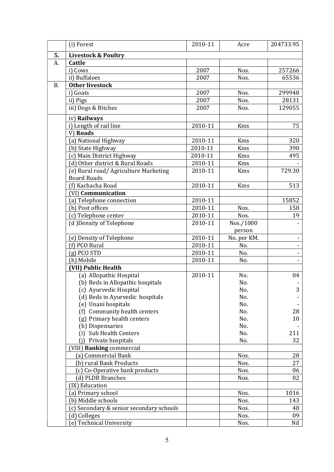|           | (i) Forest                                     | 2010-11 | Acre         | 204733.95 |
|-----------|------------------------------------------------|---------|--------------|-----------|
| 5.        | <b>Livestock &amp; Poultry</b>                 |         |              |           |
| A.        | Cattle                                         |         |              |           |
|           | i) Cows                                        | 2007    | Nos.         | 257266    |
|           | ii) Buffaloes                                  | 2007    | Nos.         | 65536     |
| <b>B.</b> | <b>Other livestock</b>                         |         |              |           |
|           | i) Goats                                       | 2007    | Nos.         | 299948    |
|           | ii) Pigs                                       | 2007    | Nos.         | 28131     |
|           | iii) Dogs & Bitches                            | 2007    | Nos.         | 129055    |
|           | iv) Railways                                   |         |              |           |
|           | i) Length of rail line                         | 2010-11 | Kms          | 75        |
|           | V) Roads                                       |         |              |           |
|           | (a) National Highway                           | 2010-11 | Kms          | 320       |
|           | (b) State Highway                              | 2010-11 | Kms          | 390       |
|           | (c) Main District Highway                      | 2010-11 | Kms          | 495       |
|           | (d) Other district & Rural Roads               | 2010-11 | Kms          |           |
|           | (e) Rural road/ Agriculture Marketing          | 2010-11 | Kms          | 729.30    |
|           | <b>Board Roads</b>                             |         |              |           |
|           | (f) Kachacha Road                              | 2010-11 | Kms          | 513       |
|           | (VI) Communication                             |         |              |           |
|           | (a) Telephone connection                       | 2010-11 |              | 15852     |
|           | (b) Post offices                               | 2010-11 | Nos.         | 158       |
|           | (c) Telephone center                           | 2010-11 | Nos.         | 19        |
|           | (d) Density of Telephone                       | 2010-11 | Nos./1000    |           |
|           |                                                |         | person       |           |
|           | (e) Density of Telephone                       | 2010-11 | No. per KM.  |           |
|           | (f) PCO Rural                                  | 2010-11 | No.          |           |
|           | $(g)$ PCO STD                                  | 2010-11 | No.          |           |
|           | (h) Mobile                                     | 2010-11 | No.          |           |
|           | (VII) Public Health                            |         |              |           |
|           | (a) Allopathic Hospital                        | 2010-11 | No.          | 04        |
|           | (b) Beds in Allopathic hospitals               |         | No.          |           |
|           | (c) Ayurvedic Hospital                         |         | No.          | 3         |
|           | (d) Beds in Ayurvedic hospitals                |         | No.          |           |
|           | (e) Unani hospitals                            |         | No.          |           |
|           | (f) Community health centers                   |         | No.          | 28        |
|           | (g) Primary health centers                     |         | No.          | 10        |
|           | (h) Dispensaries                               |         | No.          |           |
|           | (i) Sub Health Centers                         |         | No.          | 211       |
|           | Private hospitals<br>(i)                       |         | No.          | 32        |
|           | (VIII) Banking commercial                      |         |              |           |
|           | (a) Commercial Bank<br>(b) rural Bank Products |         | Nos.<br>Nos. | 28<br>27  |
|           |                                                |         |              |           |
|           | (c) Co-Operative bank products                 |         | Nos.         | 06<br>02  |
|           | (d) PLDB Branches<br>(IX) Education            |         | Nos.         |           |
|           |                                                |         | Nos.         | 1016      |
|           | (a) Primary school<br>(b) Middle schools       |         |              |           |
|           | (c) Secondary & senior secondary schools       |         | Nos.<br>Nos. | 143<br>48 |
|           | (d) Colleges                                   |         | Nos.         | 09        |
|           |                                                |         |              |           |
|           | (e) Technical University                       |         | Nos.         | Nil       |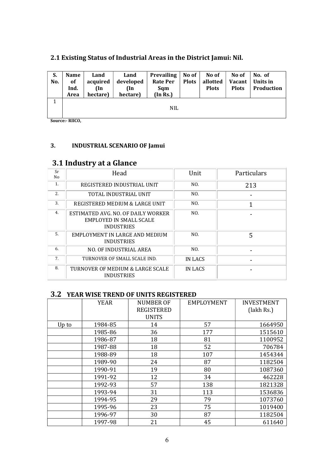| S.<br>No. | <b>Name</b><br><sub>of</sub><br>Ind.<br>Area | Land<br>acquired<br>(In<br>hectare) | Land<br>developed<br>(In<br>hectare) | <b>Prevailing</b><br><b>Rate Per</b><br>Sqm<br>(In Rs.) | No of<br><b>Plots</b> | No of<br>allotted<br><b>Plots</b> | No of<br>Vacant<br><b>Plots</b> | No. of<br>Units in<br><b>Production</b> |
|-----------|----------------------------------------------|-------------------------------------|--------------------------------------|---------------------------------------------------------|-----------------------|-----------------------------------|---------------------------------|-----------------------------------------|
|           |                                              |                                     |                                      | <b>NIL</b>                                              |                       |                                   |                                 |                                         |

## 2.1 Existing Status of Industrial Areas in the District Jamui: Nil.

Source:- RIICO,

#### 3. INDUSTRIAL SCENARIO OF Jamui

## 3.1 Industry at a Glance

| Sr<br>No | Head                                                                               | Unit    | Particulars |
|----------|------------------------------------------------------------------------------------|---------|-------------|
| 1.       | REGISTERED INDUSTRIAL UNIT                                                         | NO.     | 213         |
| 2.       | TOTAL INDUSTRIAL UNIT                                                              | NO.     |             |
| 3.       | REGISTERED MEDIUM & LARGE UNIT                                                     | NO.     |             |
| 4.       | ESTIMATED AVG. NO. OF DAILY WORKER<br>EMPLOYED IN SMALL SCALE<br><b>INDUSTRIES</b> | NO.     |             |
| 5.       | EMPLOYMENT IN LARGE AND MEDIUM<br><b>INDUSTRIES</b>                                | NO.     | 5           |
| 6.       | NO. OF INDUSTRIAL AREA                                                             | NO.     |             |
| 7.       | TURNOVER OF SMALL SCALE IND.                                                       | IN LACS |             |
| 8.       | TURNOVER OF MEDIUM & LARGE SCALE<br><b>INDUSTRIES</b>                              | IN LACS |             |

## 3.2 YEAR WISE TREND OF UNITS REGISTERED

|       | <b>YEAR</b> | <b>NUMBER OF</b><br><b>REGISTERED</b><br><b>UNITS</b> | EMPLOYMENT | <b>INVESTMENT</b><br>(lakh Rs.) |
|-------|-------------|-------------------------------------------------------|------------|---------------------------------|
| Up to | 1984-85     | 14                                                    | 57         | 1664950                         |
|       | 1985-86     | 36                                                    | 177        | 1515610                         |
|       | 1986-87     | 18                                                    | 81         | 1100952                         |
|       | 1987-88     | 18                                                    | 52         | 706784                          |
|       | 1988-89     | 18                                                    | 107        | 1454344                         |
|       | 1989-90     | 24                                                    | 87         | 1182504                         |
|       | 1990-91     | 19                                                    | 80         | 1087360                         |
|       | 1991-92     | 12                                                    | 34         | 462228                          |
|       | 1992-93     | 57                                                    | 138        | 1821328                         |
|       | 1993-94     | 31                                                    | 113        | 1536836                         |
|       | 1994-95     | 29                                                    | 79         | 1073760                         |
|       | 1995-96     | 23                                                    | 75         | 1019400                         |
|       | 1996-97     | 30                                                    | 87         | 1182504                         |
|       | 1997-98     | 21                                                    | 45         | 611640                          |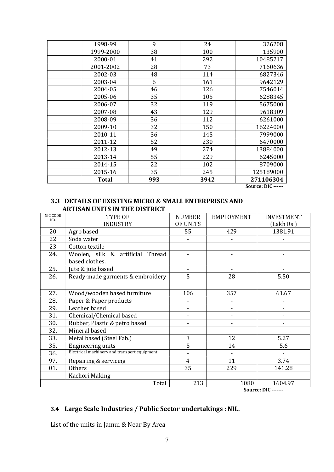| 1998-99      | 9   | 24   | 326208    |
|--------------|-----|------|-----------|
| 1999-2000    | 38  | 100  | 135900    |
| 2000-01      | 41  | 292  | 10485217  |
| 2001-2002    | 28  | 73   | 7160636   |
| 2002-03      | 48  | 114  | 6827346   |
| 2003-04      | 6   | 161  | 9642129   |
| 2004-05      | 46  | 126  | 7546014   |
| 2005-06      | 35  | 105  | 6288345   |
| 2006-07      | 32  | 119  | 5675000   |
| 2007-08      | 43  | 129  | 9618309   |
| 2008-09      | 36  | 112  | 6261000   |
| 2009-10      | 32  | 150  | 16224000  |
| 2010-11      | 36  | 145  | 7999000   |
| 2011-12      | 52  | 230  | 6470000   |
| 2012-13      | 49  | 274  | 13884000  |
| 2013-14      | 55  | 229  | 6245000   |
| 2014-15      | 22  | 102  | 8709000   |
| 2015-16      | 35  | 245  | 125189000 |
| <b>Total</b> | 993 | 3942 | 271106304 |

Source: DIC ------

#### 3.3 DETAILS OF EXISTING MICRO & SMALL ENTERPRISES AND ARTISAN UNITS IN THE DISTRICT

| <b>NIC CODE</b><br>NO. | TYPE OF                                      | <b>NUMBER</b>            | EMPLOYMENT | <b>INVESTMENT</b>     |
|------------------------|----------------------------------------------|--------------------------|------------|-----------------------|
|                        | <b>INDUSTRY</b>                              | OF UNITS                 |            | (Lakh Rs.)            |
| 20                     | Agro based                                   | 55                       | 429        | 1381.91               |
| 22                     | Soda water                                   |                          |            |                       |
| 23                     | Cotton textile                               |                          |            |                       |
| 24.                    | Woolen, silk & artificial Thread             |                          |            |                       |
|                        | based clothes.                               |                          |            |                       |
| 25.                    | Jute & jute based                            |                          |            |                       |
| 26.                    | Ready-made garments & embroidery             | 5                        | 28         | 5.50                  |
|                        |                                              |                          |            |                       |
| 27.                    | Wood/wooden based furniture                  | 106                      | 357        | 61.67                 |
| 28.                    | Paper & Paper products                       |                          |            |                       |
| 29.                    | Leather based                                | $\overline{\phantom{a}}$ | -          |                       |
| 31.                    | Chemical/Chemical based                      |                          |            |                       |
| 30.                    | Rubber, Plastic & petro based                |                          |            |                       |
| 32.                    | Mineral based                                |                          |            |                       |
| 33.                    | Metal based (Steel Fab.)                     | 3                        | 12         | 5.27                  |
| 35.                    | <b>Engineering units</b>                     | 5                        | 14         | 5.6                   |
| 36.                    | Electrical machinery and transport equipment |                          |            |                       |
| 97.                    | Repairing & servicing                        | 4                        | 11         | 3.74                  |
| 01.                    | Others                                       | 35                       | 229        | 141.28                |
|                        | Kachori Making                               |                          |            |                       |
|                        | Total                                        | 213                      | 1080       | 1604.97<br><b>DIA</b> |

Source: DIC -------

## 3.4 Large Scale Industries / Public Sector undertakings : NIL.

List of the units in Jamui & Near By Area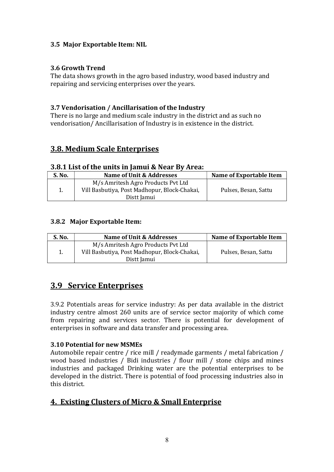## 3.5 Major Exportable Item: NIL

#### 3.6 Growth Trend

The data shows growth in the agro based industry, wood based industry and repairing and servicing enterprises over the years.

### 3.7 Vendorisation / Ancillarisation of the Industry

There is no large and medium scale industry in the district and as such no vendorisation/ Ancillarisation of Industry is in existence in the district.

## 3.8. Medium Scale Enterprises

#### 3.8.1 List of the units in Jamui & Near By Area:

| S. No. | Name of Unit & Addresses                     | <b>Name of Exportable Item</b> |
|--------|----------------------------------------------|--------------------------------|
|        | M/s Amritesh Agro Products Pvt Ltd           |                                |
|        | Vill Basbutiya, Post Madhopur, Block-Chakai, | Pulses, Besan, Sattu           |
|        | Distt Jamui                                  |                                |

#### 3.8.2 Major Exportable Item:

| S. No. | Name of Unit & Addresses                                                                          | <b>Name of Exportable Item</b> |
|--------|---------------------------------------------------------------------------------------------------|--------------------------------|
|        | M/s Amritesh Agro Products Pvt Ltd<br>Vill Basbutiya, Post Madhopur, Block-Chakai,<br>Distt Jamui | Pulses, Besan, Sattu           |

## 3.9 Service Enterprises

3.9.2 Potentials areas for service industry: As per data available in the district industry centre almost 260 units are of service sector majority of which come from repairing and services sector. There is potential for development of enterprises in software and data transfer and processing area.

#### 3.10 Potential for new MSMEs

Automobile repair centre / rice mill / readymade garments / metal fabrication / wood based industries / Bidi industries / flour mill / stone chips and mines industries and packaged Drinking water are the potential enterprises to be developed in the district. There is potential of food processing industries also in this district.

## 4. Existing Clusters of Micro & Small Enterprise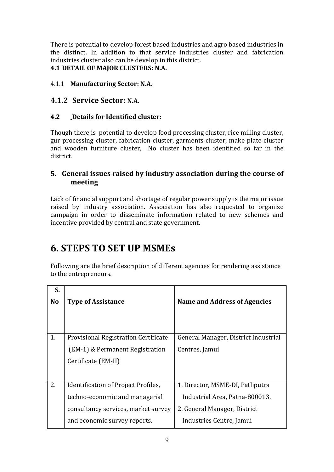There is potential to develop forest based industries and agro based industries in the distinct. In addition to that service industries cluster and fabrication industries cluster also can be develop in this district.

## 4.1 DETAIL OF MAJOR CLUSTERS: N.A.

#### 4.1.1 Manufacturing Sector: N.A.

## 4.1.2 Service Sector: N.A.

## 4.2 Details for Identified cluster:

Though there is potential to develop food processing cluster, rice milling cluster, gur processing cluster, fabrication cluster, garments cluster, make plate cluster and wooden furniture cluster, No cluster has been identified so far in the district.

## 5. General issues raised by industry association during the course of meeting

Lack of financial support and shortage of regular power supply is the major issue raised by industry association. Association has also requested to organize campaign in order to disseminate information related to new schemes and incentive provided by central and state government.

## 6. STEPS TO SET UP MSMEs

Following are the brief description of different agencies for rendering assistance to the entrepreneurs.

| S.             |                                             |                                      |
|----------------|---------------------------------------------|--------------------------------------|
| N <sub>o</sub> | <b>Type of Assistance</b>                   | Name and Address of Agencies         |
|                |                                             |                                      |
|                |                                             |                                      |
| 1.             | <b>Provisional Registration Certificate</b> | General Manager, District Industrial |
|                | (EM-1) & Permanent Registration             | Centres, Jamui                       |
|                | Certificate (EM-II)                         |                                      |
|                |                                             |                                      |
| 2.             | Identification of Project Profiles,         | 1. Director, MSME-DI, Patliputra     |
|                | techno-economic and managerial              | Industrial Area, Patna-800013.       |
|                | consultancy services, market survey         | 2. General Manager, District         |
|                | and economic survey reports.                | Industries Centre, Jamui             |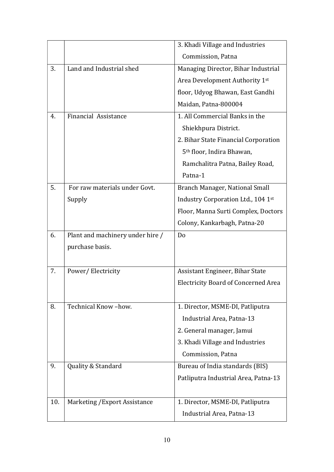|     |                                  | 3. Khadi Village and Industries            |
|-----|----------------------------------|--------------------------------------------|
|     |                                  | Commission, Patna                          |
| 3.  | Land and Industrial shed         | Managing Director, Bihar Industrial        |
|     |                                  | Area Development Authority 1st             |
|     |                                  | floor, Udyog Bhawan, East Gandhi           |
|     |                                  | Maidan, Patna-800004                       |
| 4.  | <b>Financial Assistance</b>      | 1. All Commercial Banks in the             |
|     |                                  | Shiekhpura District.                       |
|     |                                  | 2. Bihar State Financial Corporation       |
|     |                                  | 5 <sup>th</sup> floor, Indira Bhawan,      |
|     |                                  | Ramchalitra Patna, Bailey Road,            |
|     |                                  | Patna-1                                    |
| 5.  | For raw materials under Govt.    | Branch Manager, National Small             |
|     | Supply                           | Industry Corporation Ltd., 104 1st         |
|     |                                  | Floor, Manna Surti Complex, Doctors        |
|     |                                  | Colony, Kankarbagh, Patna-20               |
|     |                                  |                                            |
| 6.  | Plant and machinery under hire / | Do                                         |
|     | purchase basis.                  |                                            |
|     |                                  |                                            |
| 7.  | Power/Electricity                | Assistant Engineer, Bihar State            |
|     |                                  | <b>Electricity Board of Concerned Area</b> |
|     |                                  |                                            |
| 8.  | Technical Know-how.              | 1. Director, MSME-DI, Patliputra           |
|     |                                  | Industrial Area, Patna-13                  |
|     |                                  | 2. General manager, Jamui                  |
|     |                                  | 3. Khadi Village and Industries            |
|     |                                  | Commission, Patna                          |
| 9.  | Quality & Standard               | Bureau of India standards (BIS)            |
|     |                                  | Patliputra Industrial Area, Patna-13       |
|     |                                  |                                            |
| 10. | Marketing / Export Assistance    | 1. Director, MSME-DI, Patliputra           |